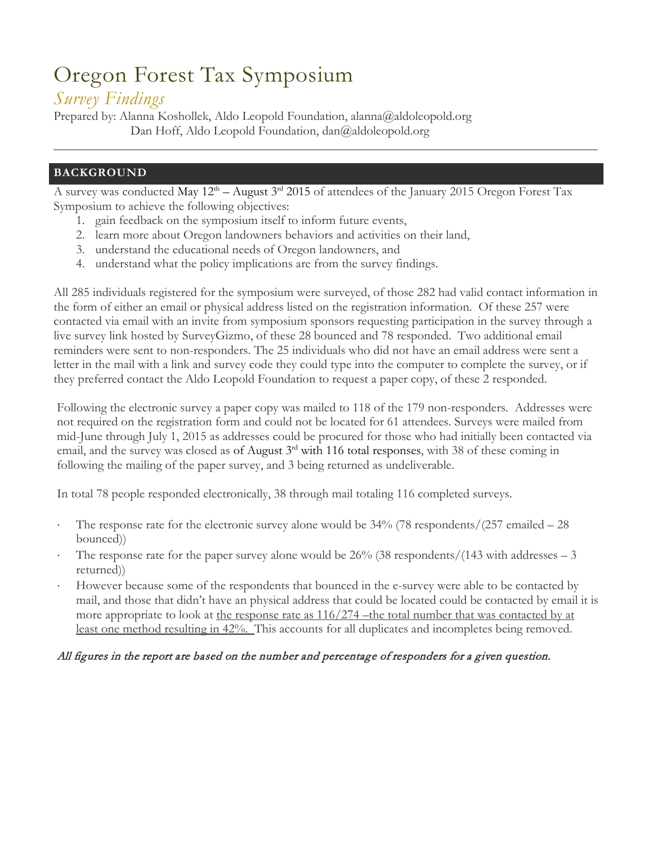# Oregon Forest Tax Symposium

# *Survey Findings*

Prepared by: Alanna Koshollek, Aldo Leopold Foundation, alanna@aldoleopold.org Dan Hoff, Aldo Leopold Foundation, dan@aldoleopold.org

### **BACKGROUND**

A survey was conducted May 12th – August 3rd 2015 of attendees of the January 2015 Oregon Forest Tax Symposium to achieve the following objectives:

\_\_\_\_\_\_\_\_\_\_\_\_\_\_\_\_\_\_\_\_\_\_\_\_\_\_\_\_\_\_\_\_\_\_\_\_\_\_\_\_\_\_\_\_\_\_\_\_\_\_\_\_\_\_\_\_\_\_\_\_\_\_\_\_\_\_\_\_\_\_\_\_\_\_\_\_\_\_\_\_\_\_\_\_\_

- 1. gain feedback on the symposium itself to inform future events,
- 2. learn more about Oregon landowners behaviors and activities on their land,
- 3. understand the educational needs of Oregon landowners, and
- 4. understand what the policy implications are from the survey findings.

All 285 individuals registered for the symposium were surveyed, of those 282 had valid contact information in the form of either an email or physical address listed on the registration information. Of these 257 were contacted via email with an invite from symposium sponsors requesting participation in the survey through a live survey link hosted by SurveyGizmo, of these 28 bounced and 78 responded. Two additional email reminders were sent to non-responders. The 25 individuals who did not have an email address were sent a letter in the mail with a link and survey code they could type into the computer to complete the survey, or if they preferred contact the Aldo Leopold Foundation to request a paper copy, of these 2 responded.

Following the electronic survey a paper copy was mailed to 118 of the 179 non-responders. Addresses were not required on the registration form and could not be located for 61 attendees. Surveys were mailed from mid-June through July 1, 2015 as addresses could be procured for those who had initially been contacted via email, and the survey was closed as of August 3<sup>rd</sup> with 116 total responses, with 38 of these coming in following the mailing of the paper survey, and 3 being returned as undeliverable.

In total 78 people responded electronically, 38 through mail totaling 116 completed surveys.

- The response rate for the electronic survey alone would be  $34\%$  (78 respondents/(257 emailed 28) bounced))
- The response rate for the paper survey alone would be  $26\%$  (38 respondents/(143 with addresses  $-3$ ) returned))
- However because some of the respondents that bounced in the e-survey were able to be contacted by mail, and those that didn't have an physical address that could be located could be contacted by email it is more appropriate to look at the response rate as  $116/274$  –the total number that was contacted by at least one method resulting in 42%. This accounts for all duplicates and incompletes being removed.

### All figures in the report are based on the number and percentage of responders for a given question.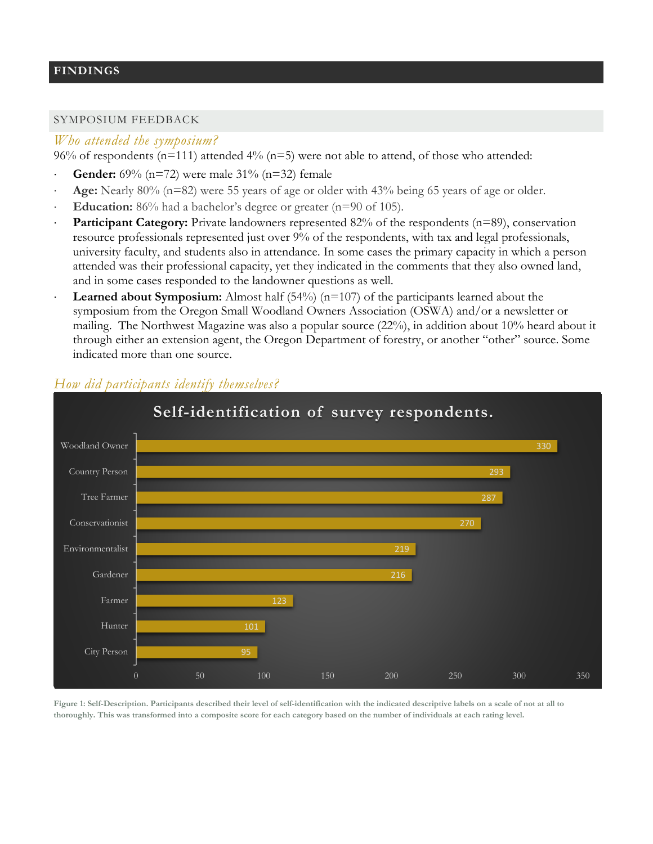### **FINDINGS**

### SYMPOSIUM FEEDBACK

#### *Who attended the symposium?*

96% of respondents ( $n=111$ ) attended 4% ( $n=5$ ) were not able to attend, of those who attended:

- **Gender:** 69% (n=72) were male 31% (n=32) female
- Age: Nearly 80% (n=82) were 55 years of age or older with 43% being 65 years of age or older.
- **Education:** 86% had a bachelor's degree or greater (n=90 of 105).
- **Participant Category:** Private landowners represented 82% of the respondents (n=89), conservation resource professionals represented just over 9% of the respondents, with tax and legal professionals, university faculty, and students also in attendance. In some cases the primary capacity in which a person attended was their professional capacity, yet they indicated in the comments that they also owned land, and in some cases responded to the landowner questions as well.
- **Learned about Symposium:** Almost half  $(54%)$  ( $n=107$ ) of the participants learned about the symposium from the Oregon Small Woodland Owners Association (OSWA) and/or a newsletter or mailing. The Northwest Magazine was also a popular source (22%), in addition about 10% heard about it through either an extension agent, the Oregon Department of forestry, or another "other" source. Some indicated more than one source.



### *How did participants identify themselves?*

**Figure 1: Self-Description. Participants described their level of self-identification with the indicated descriptive labels on a scale of not at all to thoroughly. This was transformed into a composite score for each category based on the number of individuals at each rating level.**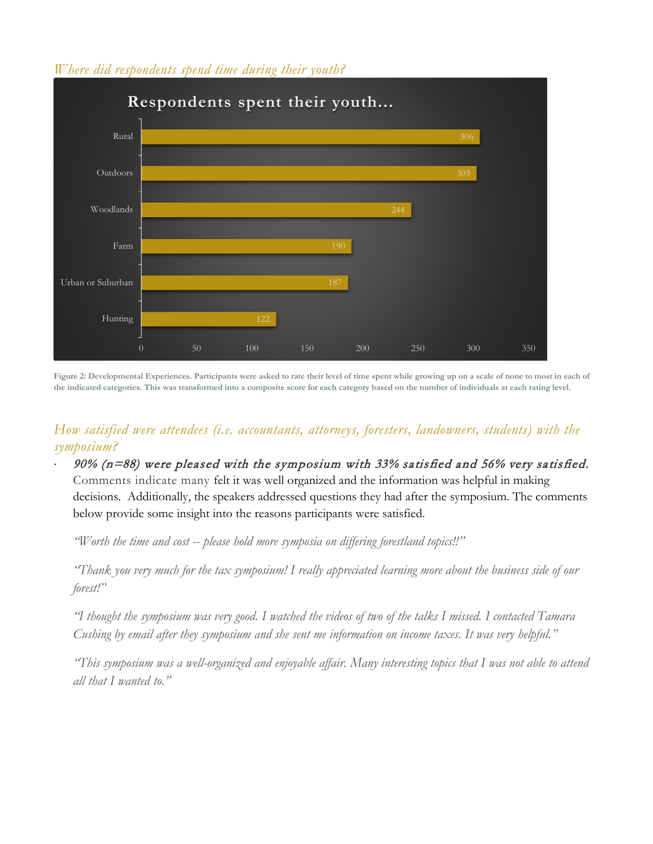### *Where did respondents spend time during their youth?*



**Figure 2: Developmental Experiences. Participants were asked to rate their level of time spent while growing up on a scale of none to most in each of the indicated categories. This was transformed into a composite score for each category based on the number of individuals at each rating level.**

# *How satisfied were attendees (i.e. accountants, attorneys, foresters, landowners, students) with the symposium?*

 $90\%$  (n=88) were pleased with the symposium with 33% satisfied and 56% very satisfied. Comments indicate many felt it was well organized and the information was helpful in making decisions. Additionally, the speakers addressed questions they had after the symposium. The comments below provide some insight into the reasons participants were satisfied.

*"Worth the time and cost -- please hold more symposia on differing forestland topics!!"*

*"Thank you very much for the tax symposium! I really appreciated learning more about the business side of our forest!"*

*"I thought the symposium was very good. I watched the videos of two of the talks I missed. I contacted Tamara Cushing by email after they symposium and she sent me information on income taxes. It was very helpful."*

*"This symposium was a well-organized and enjoyable affair. Many interesting topics that I was not able to attend all that I wanted to."*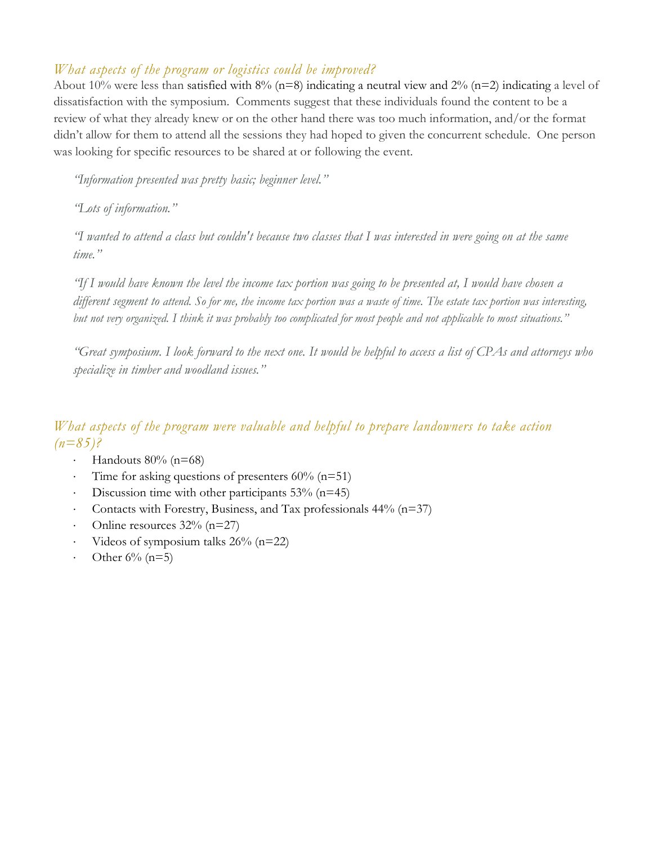# *What aspects of the program or logistics could be improved?*

About 10% were less than satisfied with 8% (n=8) indicating a neutral view and 2% (n=2) indicating a level of dissatisfaction with the symposium. Comments suggest that these individuals found the content to be a review of what they already knew or on the other hand there was too much information, and/or the format didn't allow for them to attend all the sessions they had hoped to given the concurrent schedule. One person was looking for specific resources to be shared at or following the event.

*"Information presented was pretty basic; beginner level."*

*"Lots of information."*

*"I wanted to attend a class but couldn't because two classes that I was interested in were going on at the same time."*

*"If I would have known the level the income tax portion was going to be presented at, I would have chosen a different segment to attend. So for me, the income tax portion was a waste of time. The estate tax portion was interesting, but not very organized. I think it was probably too complicated for most people and not applicable to most situations."*

*"Great symposium. I look forward to the next one. It would be helpful to access a list of CPAs and attorneys who specialize in timber and woodland issues."*

# *What aspects of the program were valuable and helpful to prepare landowners to take action (n=85)?*

- Handouts  $80%$  (n=68)
- Time for asking questions of presenters  $60\%$  (n=51)
- Discussion time with other participants  $53\%$  (n=45)
- Contacts with Forestry, Business, and Tax professionals  $44%$  (n=37)
- Online resources  $32\%$  (n=27)
- Videos of symposium talks  $26\%$  (n=22)
- Other  $6\%$  (n=5)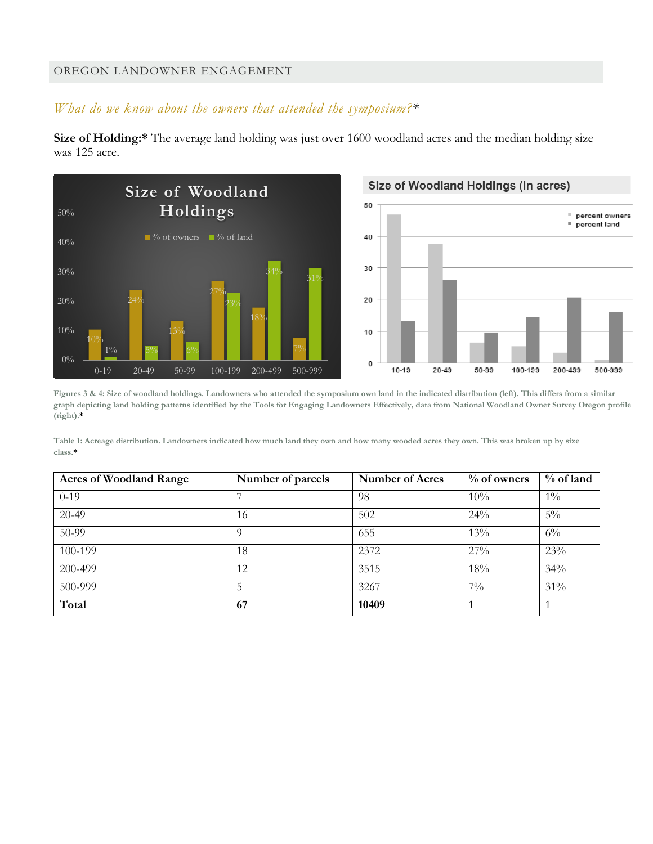### OREGON LANDOWNER ENGAGEMENT

# *What do we know about the owners that attended the symposium?\**

**Size of Holding:\*** The average land holding was just over 1600 woodland acres and the median holding size was 125 acre.







**Figures 3 & 4: Size of woodland holdings. Landowners who attended the symposium own land in the indicated distribution (left). This differs from a similar graph depicting land holding patterns identified by the Tools for Engaging Landowners Effectively, data from National Woodland Owner Survey Oregon profile (right).\***

**Table 1: Acreage distribution. Landowners indicated how much land they own and how many wooded acres they own. This was broken up by size class.\***

| <b>Acres of Woodland Range</b> | Number of parcels | <b>Number of Acres</b> | $\%$ of owners | $%$ of land |
|--------------------------------|-------------------|------------------------|----------------|-------------|
| $0-19$                         | ⇁                 | 98                     | 10%            | $1\%$       |
| $20-49$                        | 16                | 502                    | 24%            | $5\%$       |
| 50-99                          | $\Omega$          | 655                    | 13%            | $6\%$       |
| 100-199                        | 18                | 2372                   | $27\%$         | 23%         |
| 200-499                        | 12                | 3515                   | 18%            | 34%         |
| 500-999                        | 5                 | 3267                   | $7\%$          | 31%         |
| Total                          | 67                | 10409                  |                |             |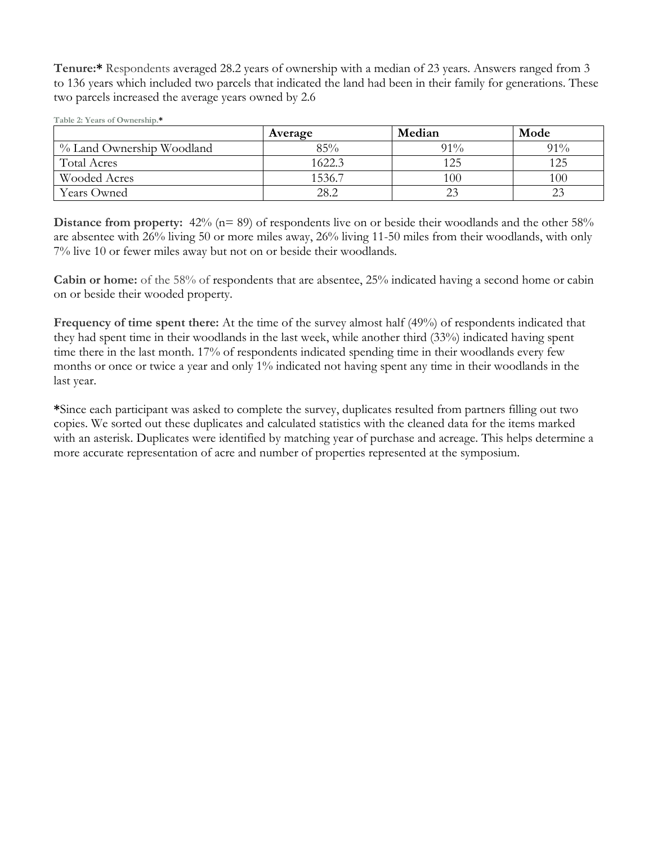**Tenure:\*** Respondents averaged 28.2 years of ownership with a median of 23 years. Answers ranged from 3 to 136 years which included two parcels that indicated the land had been in their family for generations. These two parcels increased the average years owned by 2.6

| Table 2: Years of Ownership.* |  |  |
|-------------------------------|--|--|
|-------------------------------|--|--|

|                           | Average | Median | Mode   |
|---------------------------|---------|--------|--------|
| % Land Ownership Woodland | 85%     | $91\%$ | $91\%$ |
| <b>Total Acres</b>        | 1622.3  | 125    | 125    |
| Wooded Acres              | 1536.7  | 100    | 100    |
| <b>Years Owned</b>        | 28.2    | 23     |        |

**Distance from property:**  $42\%$  (n= 89) of respondents live on or beside their woodlands and the other 58% are absentee with 26% living 50 or more miles away, 26% living 11-50 miles from their woodlands, with only 7% live 10 or fewer miles away but not on or beside their woodlands.

**Cabin or home:** of the 58% of respondents that are absentee, 25% indicated having a second home or cabin on or beside their wooded property.

**Frequency of time spent there:** At the time of the survey almost half (49%) of respondents indicated that they had spent time in their woodlands in the last week, while another third (33%) indicated having spent time there in the last month. 17% of respondents indicated spending time in their woodlands every few months or once or twice a year and only 1% indicated not having spent any time in their woodlands in the last year.

**\***Since each participant was asked to complete the survey, duplicates resulted from partners filling out two copies. We sorted out these duplicates and calculated statistics with the cleaned data for the items marked with an asterisk. Duplicates were identified by matching year of purchase and acreage. This helps determine a more accurate representation of acre and number of properties represented at the symposium.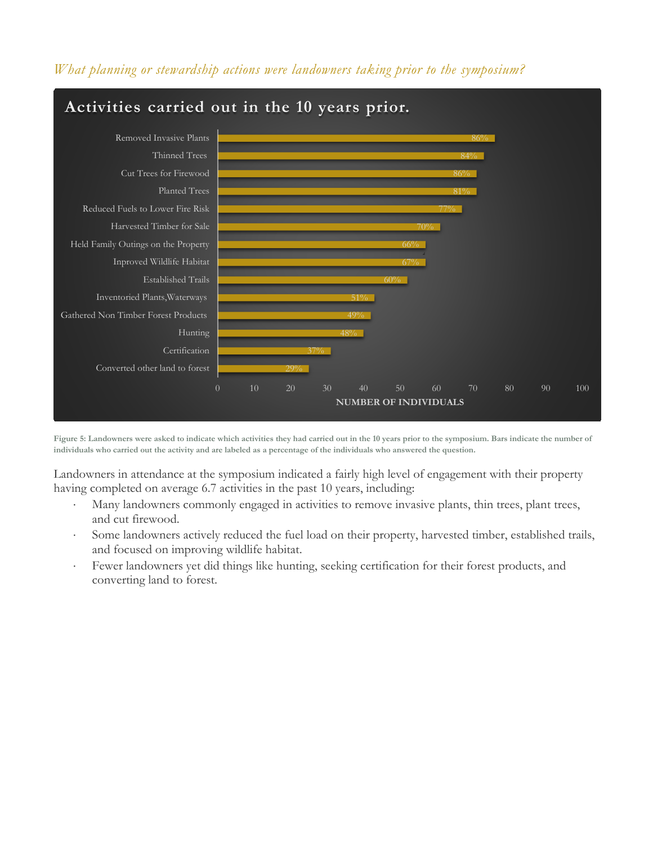



**Figure 5: Landowners were asked to indicate which activities they had carried out in the 10 years prior to the symposium. Bars indicate the number of individuals who carried out the activity and are labeled as a percentage of the individuals who answered the question.**

Landowners in attendance at the symposium indicated a fairly high level of engagement with their property having completed on average 6.7 activities in the past 10 years, including:

- Many landowners commonly engaged in activities to remove invasive plants, thin trees, plant trees, and cut firewood.
- Some landowners actively reduced the fuel load on their property, harvested timber, established trails, and focused on improving wildlife habitat.
- Fewer landowners yet did things like hunting, seeking certification for their forest products, and converting land to forest.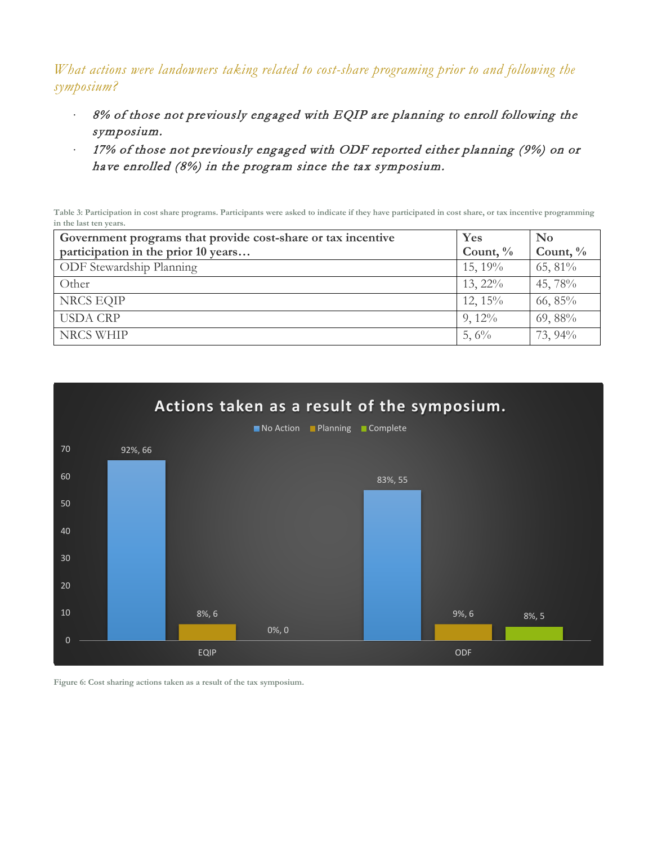*What actions were landowners taking related to cost-share programing prior to and following the symposium?*

- ⋅ 8% of those not previously engaged with EQIP are planning to enroll following the symposium.
- ⋅ 17% of those not previously engaged with ODF reported either planning (9%) on or have enrolled (8%) in the program since the tax symposium.

**Table 3: Participation in cost share programs. Participants were asked to indicate if they have participated in cost share, or tax incentive programming in the last ten years.**

| Government programs that provide cost-share or tax incentive | Yes         | N <sub>0</sub> |
|--------------------------------------------------------------|-------------|----------------|
| participation in the prior 10 years                          | Count, $\%$ | Count, $\%$    |
| <b>ODF</b> Stewardship Planning                              | $15, 19\%$  | $65,81\%$      |
| Other                                                        | $13, 22\%$  | 45, 78%        |
| NRCS EQIP                                                    | $12, 15\%$  | $66, 85\%$     |
| <b>USDA CRP</b>                                              | $9,12\%$    | $69,88\%$      |
| <b>NRCS WHIP</b>                                             | 5,6%        | 73, 94%        |



**Figure 6: Cost sharing actions taken as a result of the tax symposium.**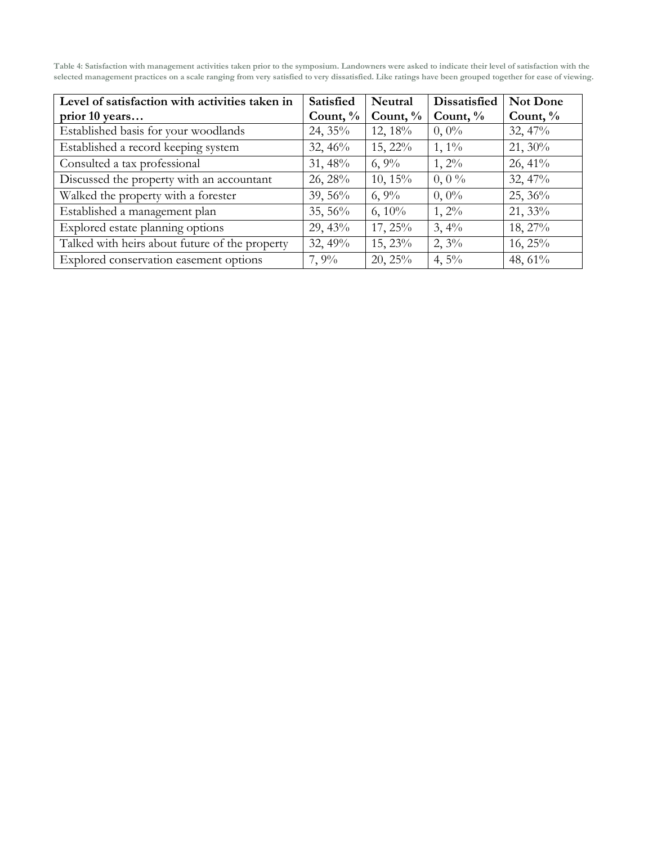**Table 4: Satisfaction with management activities taken prior to the symposium. Landowners were asked to indicate their level of satisfaction with the selected management practices on a scale ranging from very satisfied to very dissatisfied. Like ratings have been grouped together for ease of viewing.**

| Level of satisfaction with activities taken in | Satisfied   | Neutral     | <b>Dissatisfied</b> | Not Done    |
|------------------------------------------------|-------------|-------------|---------------------|-------------|
| prior 10 years                                 | Count, $\%$ | Count, $\%$ | Count, $\%$         | Count, $\%$ |
| Established basis for your woodlands           | 24, 35%     | 12, 18%     | $0,0\%$             | 32,47%      |
| Established a record keeping system            | 32,46%      | $15, 22\%$  | $1, 1\%$            | $21,30\%$   |
| Consulted a tax professional                   | $31,48\%$   | $6, 9\%$    | $1,2\%$             | $26,41\%$   |
| Discussed the property with an accountant      | $26, 28\%$  | $10, 15\%$  | $0, 0\%$            | 32,47%      |
| Walked the property with a forester            | $39,56\%$   | $6, 9\%$    | $0, 0\%$            | $25, 36\%$  |
| Established a management plan                  | $35,56\%$   | $6, 10\%$   | $1, 2\%$            | $21,33\%$   |
| Explored estate planning options               | 29,43%      | $17, 25\%$  | 3,4%                | 18, 27%     |
| Talked with heirs about future of the property | 32,49%      | $15, 23\%$  | $2, 3\%$            | $16, 25\%$  |
| Explored conservation easement options         | 7,9%        | 20, 25%     | 4,5%                | 48, $61\%$  |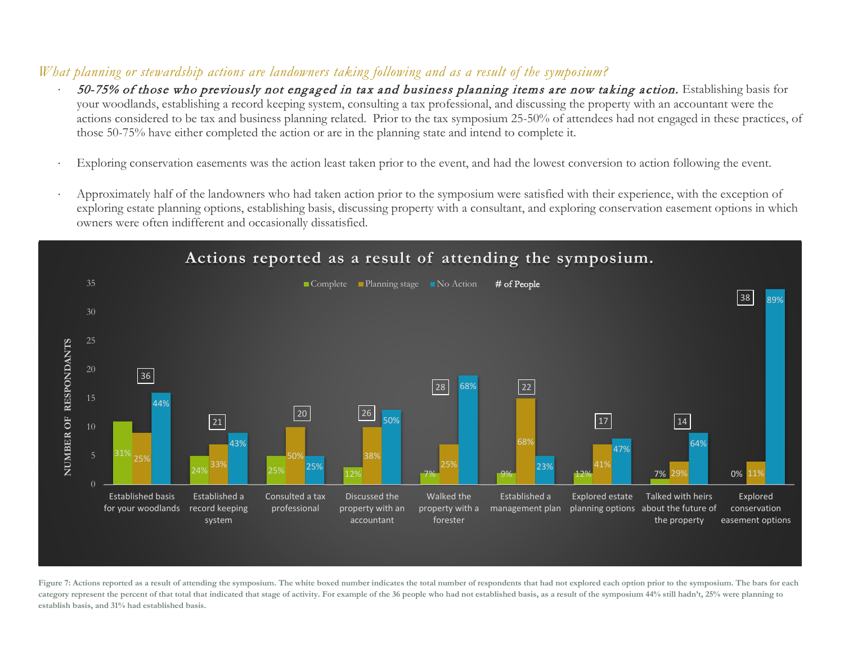# *What planning or stewardship actions are landowners taking following and as a result of the symposium?*

- 50-75% of those who previously not engaged in tax and business planning items are now taking action. Establishing basis for your woodlands, establishing a record keeping system, consulting a tax professional, and discussing the property with an accountant were the actions considered to be tax and business planning related. Prior to the tax symposium 25-50% of attendees had not engaged in these practices, of those 50-75% have either completed the action or are in the planning state and intend to complete it.
- Exploring conservation easements was the action least taken prior to the event, and had the lowest conversion to action following the event.
- Approximately half of the landowners who had taken action prior to the symposium were satisfied with their experience, with the exception of exploring estate planning options, establishing basis, discussing property with a consultant, and exploring conservation easement options in which owners were often indifferent and occasionally dissatisfied.



Figure 7: Actions reported as a result of attending the symposium. The white boxed number indicates the total number of respondents that had not explored each option prior to the symposium. The bars for each **category represent the percent of that total that indicated that stage of activity. For example of the 36 people who had not established basis, as a result of the symposium 44% still hadn't, 25% were planning to establish basis, and 31% had established basis.**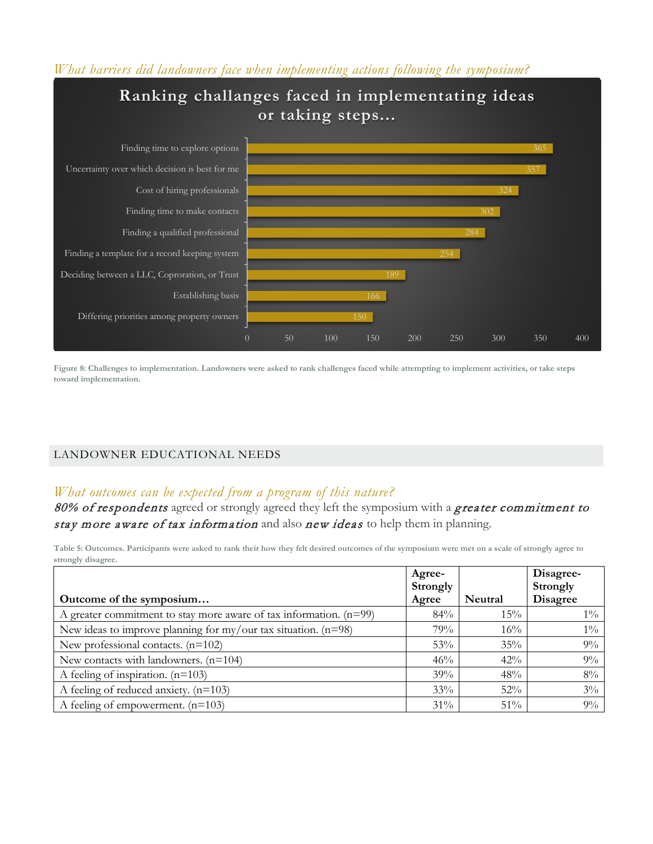### *What barriers did landowners face when implementing actions following the symposium?*



**Figure 8: Challenges to implementation. Landowners were asked to rank challenges faced while attempting to implement activities, or take steps toward implementation.**

### LANDOWNER EDUCATIONAL NEEDS

## *What outcomes can be expected from a program of this nature?*

80% of respondents agreed or strongly agreed they left the symposium with a greater commitment to stay more aware of tax information and also new ideas to help them in planning.

**Table 5: Outcomes. Participants were asked to rank their how they felt desired outcomes of the symposium were met on a scale of strongly agree to strongly disagree.**

|                                                                      | Agree-   |         | Disagree-       |
|----------------------------------------------------------------------|----------|---------|-----------------|
|                                                                      | Strongly |         | Strongly        |
| Outcome of the symposium                                             | Agree    | Neutral | <b>Disagree</b> |
| A greater commitment to stay more aware of tax information. $(n=99)$ | $84\%$   | $15\%$  | $1\%$           |
| New ideas to improve planning for my/our tax situation. $(n=98)$     | 79%      | 16%     | $1\%$           |
| New professional contacts. $(n=102)$                                 | 53%      | 35%     | $9\%$           |
| New contacts with landowners. $(n=104)$                              | 46%      | $42\%$  | $9\%$           |
| A feeling of inspiration. $(n=103)$                                  | 39%      | 48%     | $8\%$           |
| A feeling of reduced anxiety. $(n=103)$                              | 33%      | $52\%$  | $3\%$           |
| A feeling of empowerment. $(n=103)$                                  | $31\%$   | $51\%$  | $9\%$           |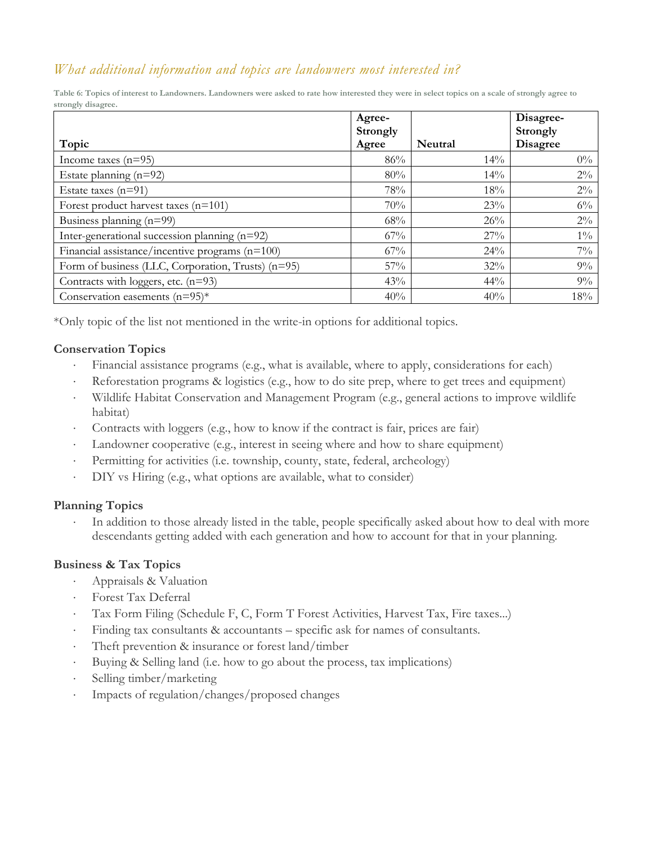# *What additional information and topics are landowners most interested in?*

**Table 6: Topics of interest to Landowners. Landowners were asked to rate how interested they were in select topics on a scale of strongly agree to strongly disagree.**

|                                                    | Agree-<br><b>Strongly</b> |         | Disagree-<br>Strongly |
|----------------------------------------------------|---------------------------|---------|-----------------------|
| Topic                                              | Agree                     | Neutral | <b>Disagree</b>       |
| Income taxes $(n=95)$                              | 86%                       | 14%     | $0\%$                 |
| Estate planning $(n=92)$                           | 80%                       | 14%     | $2\%$                 |
| Estate taxes $(n=91)$                              | 78%                       | 18%     | $2\%$                 |
| Forest product harvest taxes $(n=101)$             | 70%                       | 23%     | $6\%$                 |
| Business planning (n=99)                           | 68%                       | 26%     | $2\%$                 |
| Inter-generational succession planning (n=92)      | 67%                       | 27%     | $1\%$                 |
| Financial assistance/incentive programs (n=100)    | $67\%$                    | 24%     | $7\%$                 |
| Form of business (LLC, Corporation, Trusts) (n=95) | 57%                       | 32%     | $9\%$                 |
| Contracts with loggers, etc. $(n=93)$              | 43%                       | 44%     | $9\%$                 |
| Conservation easements $(n=95)^*$                  | 40%                       | 40%     | 18%                   |

\*Only topic of the list not mentioned in the write-in options for additional topics.

### **Conservation Topics**

- ⋅ Financial assistance programs (e.g., what is available, where to apply, considerations for each)
- Reforestation programs & logistics (e.g., how to do site prep, where to get trees and equipment)
- Wildlife Habitat Conservation and Management Program (e.g., general actions to improve wildlife habitat)
- Contracts with loggers (e.g., how to know if the contract is fair, prices are fair)
- ⋅ Landowner cooperative (e.g., interest in seeing where and how to share equipment)
- Permitting for activities (i.e. township, county, state, federal, archeology)
- ⋅ DIY vs Hiring (e.g., what options are available, what to consider)

### **Planning Topics**

In addition to those already listed in the table, people specifically asked about how to deal with more descendants getting added with each generation and how to account for that in your planning.

### **Business & Tax Topics**

- ⋅ Appraisals & Valuation
- ⋅ Forest Tax Deferral
- Tax Form Filing (Schedule F, C, Form T Forest Activities, Harvest Tax, Fire taxes...)
- Finding tax consultants & accountants specific ask for names of consultants.
- Theft prevention & insurance or forest land/timber
- Buying & Selling land (i.e. how to go about the process, tax implications)
- ⋅ Selling timber/marketing
- Impacts of regulation/changes/proposed changes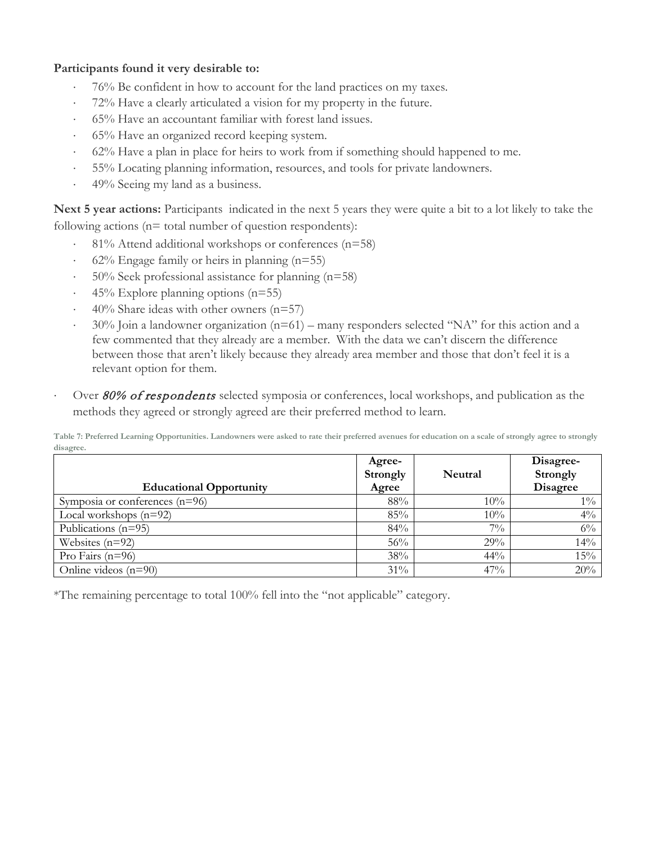### **Participants found it very desirable to:**

- ⋅ 76% Be confident in how to account for the land practices on my taxes.
- 72% Have a clearly articulated a vision for my property in the future.
- ⋅ 65% Have an accountant familiar with forest land issues.
- ⋅ 65% Have an organized record keeping system.
- ⋅ 62% Have a plan in place for heirs to work from if something should happened to me.
- 55% Locating planning information, resources, and tools for private landowners.
- ⋅ 49% Seeing my land as a business.

**Next 5 year actions:** Participants indicated in the next 5 years they were quite a bit to a lot likely to take the following actions ( $n=$  total number of question respondents):

- ⋅ 81% Attend additional workshops or conferences (n=58)
- $62\%$  Engage family or heirs in planning (n=55)
- ⋅ 50% Seek professional assistance for planning (n=58)
- $45\%$  Explore planning options (n=55)
- $40\%$  Share ideas with other owners (n=57)
- ⋅ 30% Join a landowner organization (n=61) many responders selected "NA" for this action and a few commented that they already are a member. With the data we can't discern the difference between those that aren't likely because they already area member and those that don't feel it is a relevant option for them.
- Over 80% of respondents selected symposia or conferences, local workshops, and publication as the methods they agreed or strongly agreed are their preferred method to learn.

**Table 7: Preferred Learning Opportunities. Landowners were asked to rate their preferred avenues for education on a scale of strongly agree to strongly disagree.**

| <b>Educational Opportunity</b>   | Agree-<br><b>Strongly</b><br>Agree | Neutral | Disagree-<br><b>Strongly</b><br><b>Disagree</b> |
|----------------------------------|------------------------------------|---------|-------------------------------------------------|
| Symposia or conferences $(n=96)$ | 88%                                | 10%     | $1\%$                                           |
| Local workshops $(n=92)$         | 85%                                | $10\%$  | $4\%$                                           |
| Publications $(n=95)$            | 84%                                | $7\%$   | $6\%$                                           |
| Websites $(n=92)$                | 56%                                | 29%     | 14%                                             |
| Pro Fairs $(n=96)$               | 38%                                | 44%     | 15%                                             |
| Online videos $(n=90)$           | 31%                                | 47%     | 20%                                             |

\*The remaining percentage to total 100% fell into the "not applicable" category.